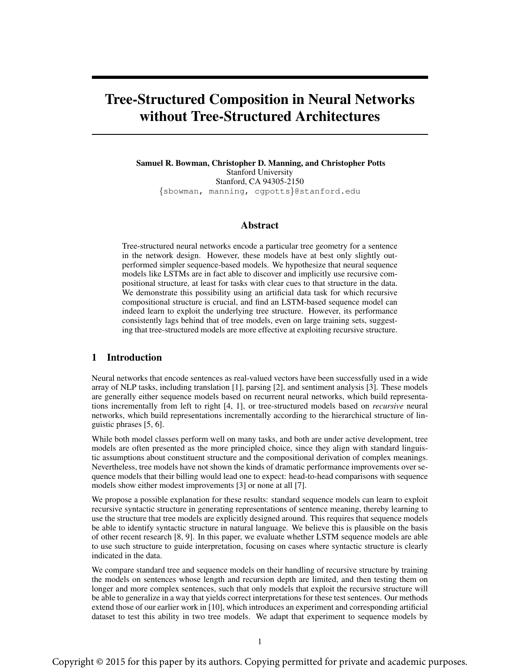# Tree-Structured Composition in Neural Networks without Tree-Structured Architectures

Samuel R. Bowman, Christopher D. Manning, and Christopher Potts Stanford University Stanford, CA 94305-2150 {sbowman, manning, cgpotts}@stanford.edu

## Abstract

Tree-structured neural networks encode a particular tree geometry for a sentence in the network design. However, these models have at best only slightly outperformed simpler sequence-based models. We hypothesize that neural sequence models like LSTMs are in fact able to discover and implicitly use recursive compositional structure, at least for tasks with clear cues to that structure in the data. We demonstrate this possibility using an artificial data task for which recursive compositional structure is crucial, and find an LSTM-based sequence model can indeed learn to exploit the underlying tree structure. However, its performance consistently lags behind that of tree models, even on large training sets, suggesting that tree-structured models are more effective at exploiting recursive structure.

#### 1 Introduction

Neural networks that encode sentences as real-valued vectors have been successfully used in a wide array of NLP tasks, including translation [1], parsing [2], and sentiment analysis [3]. These models are generally either sequence models based on recurrent neural networks, which build representations incrementally from left to right [4, 1], or tree-structured models based on *recursive* neural networks, which build representations incrementally according to the hierarchical structure of linguistic phrases [5, 6].

While both model classes perform well on many tasks, and both are under active development, tree models are often presented as the more principled choice, since they align with standard linguistic assumptions about constituent structure and the compositional derivation of complex meanings. Nevertheless, tree models have not shown the kinds of dramatic performance improvements over sequence models that their billing would lead one to expect: head-to-head comparisons with sequence models show either modest improvements [3] or none at all [7].

We propose a possible explanation for these results: standard sequence models can learn to exploit recursive syntactic structure in generating representations of sentence meaning, thereby learning to use the structure that tree models are explicitly designed around. This requires that sequence models be able to identify syntactic structure in natural language. We believe this is plausible on the basis of other recent research [8, 9]. In this paper, we evaluate whether LSTM sequence models are able to use such structure to guide interpretation, focusing on cases where syntactic structure is clearly indicated in the data.

We compare standard tree and sequence models on their handling of recursive structure by training the models on sentences whose length and recursion depth are limited, and then testing them on longer and more complex sentences, such that only models that exploit the recursive structure will be able to generalize in a way that yields correct interpretations for these test sentences. Our methods extend those of our earlier work in [10], which introduces an experiment and corresponding artificial dataset to test this ability in two tree models. We adapt that experiment to sequence models by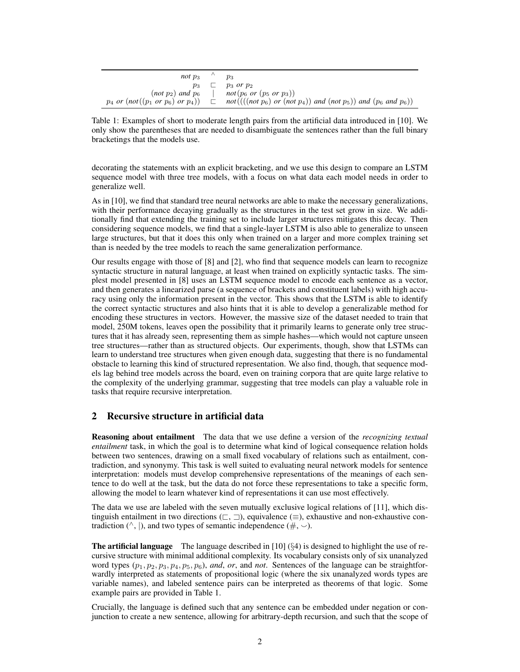| not $p_3$ $\qquad$                                                    | $p_3$                                                                          |
|-----------------------------------------------------------------------|--------------------------------------------------------------------------------|
| $p_3 \quad \Box$                                                      | $p_3$ or $p_2$                                                                 |
| (not $p_2$ ) and $p_6$                                                | <i>not</i> ( $p_6$ <i>or</i> ( $p_5$ <i>or</i> $p_3$ ))                        |
| $p_4$ or $(not((p_1 \text{ or } p_6) \text{ or } p_4)) \quad \square$ | not((((not $p_6$ ) or (not $p_4$ )) and (not $p_5$ )) and ( $p_6$ and $p_6$ )) |

Table 1: Examples of short to moderate length pairs from the artificial data introduced in [10]. We only show the parentheses that are needed to disambiguate the sentences rather than the full binary bracketings that the models use.

decorating the statements with an explicit bracketing, and we use this design to compare an LSTM sequence model with three tree models, with a focus on what data each model needs in order to generalize well.

As in [10], we find that standard tree neural networks are able to make the necessary generalizations, with their performance decaying gradually as the structures in the test set grow in size. We additionally find that extending the training set to include larger structures mitigates this decay. Then considering sequence models, we find that a single-layer LSTM is also able to generalize to unseen large structures, but that it does this only when trained on a larger and more complex training set than is needed by the tree models to reach the same generalization performance.

Our results engage with those of [8] and [2], who find that sequence models can learn to recognize syntactic structure in natural language, at least when trained on explicitly syntactic tasks. The simplest model presented in [8] uses an LSTM sequence model to encode each sentence as a vector, and then generates a linearized parse (a sequence of brackets and constituent labels) with high accuracy using only the information present in the vector. This shows that the LSTM is able to identify the correct syntactic structures and also hints that it is able to develop a generalizable method for encoding these structures in vectors. However, the massive size of the dataset needed to train that model, 250M tokens, leaves open the possibility that it primarily learns to generate only tree structures that it has already seen, representing them as simple hashes—which would not capture unseen tree structures—rather than as structured objects. Our experiments, though, show that LSTMs can learn to understand tree structures when given enough data, suggesting that there is no fundamental obstacle to learning this kind of structured representation. We also find, though, that sequence models lag behind tree models across the board, even on training corpora that are quite large relative to the complexity of the underlying grammar, suggesting that tree models can play a valuable role in tasks that require recursive interpretation.

# 2 Recursive structure in artificial data

Reasoning about entailment The data that we use define a version of the *recognizing textual entailment* task, in which the goal is to determine what kind of logical consequence relation holds between two sentences, drawing on a small fixed vocabulary of relations such as entailment, contradiction, and synonymy. This task is well suited to evaluating neural network models for sentence interpretation: models must develop comprehensive representations of the meanings of each sentence to do well at the task, but the data do not force these representations to take a specific form, allowing the model to learn whatever kind of representations it can use most effectively.

The data we use are labeled with the seven mutually exclusive logical relations of [11], which distinguish entailment in two directions ( $\sqsubset$ ,  $\sqsupset$ ), equivalence ( $\equiv$ ), exhaustive and non-exhaustive contradiction ( $\land$ , |), and two types of semantic independence ( $\#$ ,  $\lor$ ).

**The artificial language** The language described in [10] ( $\S$ 4) is designed to highlight the use of recursive structure with minimal additional complexity. Its vocabulary consists only of six unanalyzed word types  $(p_1, p_2, p_3, p_4, p_5, p_6)$ , *and, or*, and *not*. Sentences of the language can be straightforwardly interpreted as statements of propositional logic (where the six unanalyzed words types are variable names), and labeled sentence pairs can be interpreted as theorems of that logic. Some example pairs are provided in Table 1.

Crucially, the language is defined such that any sentence can be embedded under negation or conjunction to create a new sentence, allowing for arbitrary-depth recursion, and such that the scope of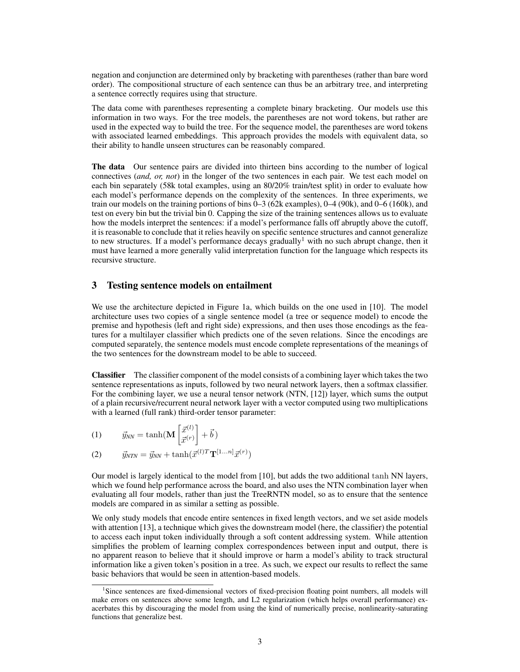negation and conjunction are determined only by bracketing with parentheses (rather than bare word order). The compositional structure of each sentence can thus be an arbitrary tree, and interpreting a sentence correctly requires using that structure.

The data come with parentheses representing a complete binary bracketing. Our models use this information in two ways. For the tree models, the parentheses are not word tokens, but rather are used in the expected way to build the tree. For the sequence model, the parentheses are word tokens with associated learned embeddings. This approach provides the models with equivalent data, so their ability to handle unseen structures can be reasonably compared.

The data Our sentence pairs are divided into thirteen bins according to the number of logical connectives (*and, or, not*) in the longer of the two sentences in each pair. We test each model on each bin separately (58k total examples, using an 80/20% train/test split) in order to evaluate how each model's performance depends on the complexity of the sentences. In three experiments, we train our models on the training portions of bins 0–3 (62k examples), 0–4 (90k), and 0–6 (160k), and test on every bin but the trivial bin 0. Capping the size of the training sentences allows us to evaluate how the models interpret the sentences: if a model's performance falls off abruptly above the cutoff, it is reasonable to conclude that it relies heavily on specific sentence structures and cannot generalize to new structures. If a model's performance decays gradually<sup>1</sup> with no such abrupt change, then it must have learned a more generally valid interpretation function for the language which respects its recursive structure.

# 3 Testing sentence models on entailment

We use the architecture depicted in Figure 1a, which builds on the one used in [10]. The model architecture uses two copies of a single sentence model (a tree or sequence model) to encode the premise and hypothesis (left and right side) expressions, and then uses those encodings as the features for a multilayer classifier which predicts one of the seven relations. Since the encodings are computed separately, the sentence models must encode complete representations of the meanings of the two sentences for the downstream model to be able to succeed.

Classifier The classifier component of the model consists of a combining layer which takes the two sentence representations as inputs, followed by two neural network layers, then a softmax classifier. For the combining layer, we use a neural tensor network (NTN, [12]) layer, which sums the output of a plain recursive/recurrent neural network layer with a vector computed using two multiplications with a learned (full rank) third-order tensor parameter:

~y*NN* = tanh(M ~x(l) ~x(r) +~ (1) b )

(2) 
$$
\vec{y}_{NTN} = \vec{y}_{NN} + \tanh(\vec{x}^{(l)T}\mathbf{T}^{[1...n]}\vec{x}^{(r)})
$$

Our model is largely identical to the model from [10], but adds the two additional tanh NN layers, which we found help performance across the board, and also uses the NTN combination layer when evaluating all four models, rather than just the TreeRNTN model, so as to ensure that the sentence models are compared in as similar a setting as possible.

We only study models that encode entire sentences in fixed length vectors, and we set aside models with attention [13], a technique which gives the downstream model (here, the classifier) the potential to access each input token individually through a soft content addressing system. While attention simplifies the problem of learning complex correspondences between input and output, there is no apparent reason to believe that it should improve or harm a model's ability to track structural information like a given token's position in a tree. As such, we expect our results to reflect the same basic behaviors that would be seen in attention-based models.

<sup>&</sup>lt;sup>1</sup>Since sentences are fixed-dimensional vectors of fixed-precision floating point numbers, all models will make errors on sentences above some length, and L2 regularization (which helps overall performance) exacerbates this by discouraging the model from using the kind of numerically precise, nonlinearity-saturating functions that generalize best.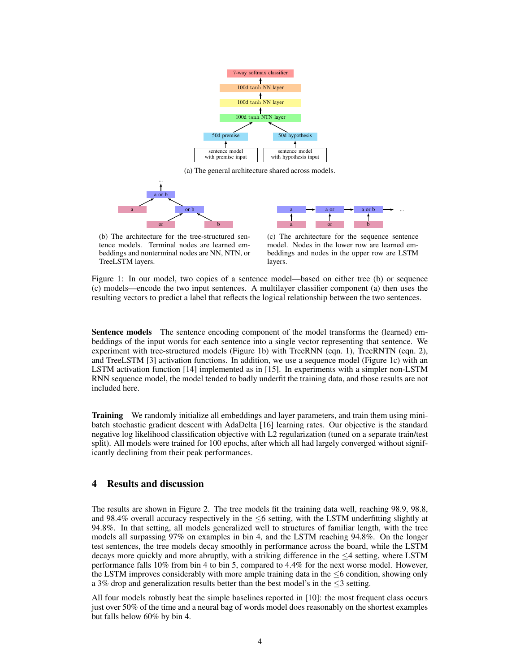

(a) The general architecture shared across models.





(b) The architecture for the tree-structured sentence models. Terminal nodes are learned embeddings and nonterminal nodes are NN, NTN, or TreeLSTM layers.

(c) The architecture for the sequence sentence model. Nodes in the lower row are learned embeddings and nodes in the upper row are LSTM layers.

Figure 1: In our model, two copies of a sentence model—based on either tree (b) or sequence (c) models—encode the two input sentences. A multilayer classifier component (a) then uses the resulting vectors to predict a label that reflects the logical relationship between the two sentences.

Sentence models The sentence encoding component of the model transforms the (learned) embeddings of the input words for each sentence into a single vector representing that sentence. We experiment with tree-structured models (Figure 1b) with TreeRNN (eqn. 1), TreeRNTN (eqn. 2), and TreeLSTM [3] activation functions. In addition, we use a sequence model (Figure 1c) with an LSTM activation function [14] implemented as in [15]. In experiments with a simpler non-LSTM RNN sequence model, the model tended to badly underfit the training data, and those results are not included here.

Training We randomly initialize all embeddings and layer parameters, and train them using minibatch stochastic gradient descent with AdaDelta [16] learning rates. Our objective is the standard negative log likelihood classification objective with L2 regularization (tuned on a separate train/test split). All models were trained for 100 epochs, after which all had largely converged without significantly declining from their peak performances.

#### 4 Results and discussion

The results are shown in Figure 2. The tree models fit the training data well, reaching 98.9, 98.8, and 98.4% overall accuracy respectively in the  $\leq 6$  setting, with the LSTM underfitting slightly at 94.8%. In that setting, all models generalized well to structures of familiar length, with the tree models all surpassing 97% on examples in bin 4, and the LSTM reaching 94.8%. On the longer test sentences, the tree models decay smoothly in performance across the board, while the LSTM decays more quickly and more abruptly, with a striking difference in the ≤4 setting, where LSTM performance falls 10% from bin 4 to bin 5, compared to 4.4% for the next worse model. However, the LSTM improves considerably with more ample training data in the ≤6 condition, showing only a 3% drop and generalization results better than the best model's in the  $\leq$ 3 setting.

All four models robustly beat the simple baselines reported in [10]: the most frequent class occurs just over 50% of the time and a neural bag of words model does reasonably on the shortest examples but falls below 60% by bin 4.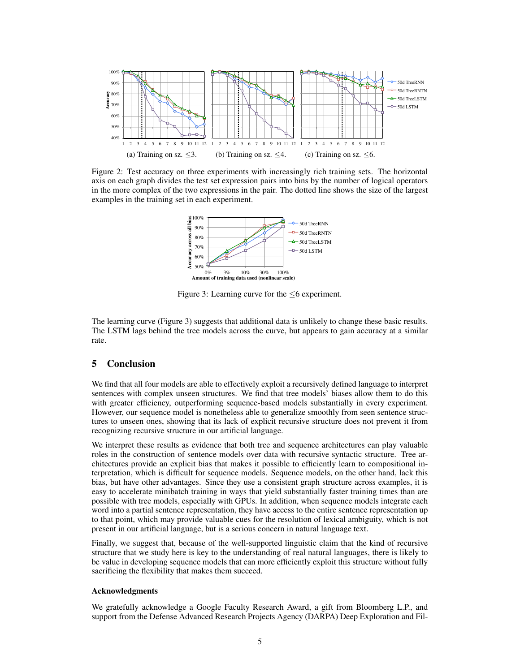

examples in the training set in each experiment. in the more complex of the two expressions in axis on each graph divides the test set expression pairs into bins by the number of logical operators Figure 2: Test accuracy on three experiments with increasingly rich training sets. The horizontal  $\frac{1}{2}$ in the more complex of the two expressions in the pair. The dotted line shows the size of the largest  $\frac{1}{\sqrt{2}}$ 

50d TreeLSTM



Figure 3: Learning curve for the  $\leq 6$  experiment.  $500$ 

The LSTM lags behind the tree models across the curve, but appears to gain accuracy at a similar The learning curve (Figure 3) suggests that additional data is unlikely to change these basic results. rate.

# 5 Conclusion

2 0.9974 1 0.9974 1 0.9974 1 0.9974 1 0.9974 1 0.9974 1 0.9974 1 0.9974 1 0.9974 1 0.9974 1 0.9974

We find that all four models are able to effectively exploit a recursively defined language to interpret sentences with complex unseen structures. We find that tree models' biases allow them to do this with greater efficiency, outperforming sequence-based models substantially in every experiment. However, our sequence model is nonetheless able to generalize smoothly from seen sentence structures to unseen ones, showing that its lack of explicit recursive structure does not prevent it from recognizing recursive structure in our artificial language.

We interpret these results as evidence that both tree and sequence architectures can play valuable roles in the construction of sentence models over data with recursive syntactic structure. Tree architectures provide an explicit bias that makes it possible to efficiently learn to compositional interpretation, which is difficult for sequence models. Sequence models, on the other hand, lack this bias, but have other advantages. Since they use a consistent graph structure across examples, it is easy to accelerate minibatch training in ways that yield substantially faster training times than are possible with tree models, especially with GPUs. In addition, when sequence models integrate each word into a partial sentence representation, they have access to the entire sentence representation up to that point, which may provide valuable cues for the resolution of lexical ambiguity, which is not present in our artificial language, but is a serious concern in natural language text.

Finally, we suggest that, because of the well-supported linguistic claim that the kind of recursive structure that we study here is key to the understanding of real natural languages, there is likely to be value in developing sequence models that can more efficiently exploit this structure without fully sacrificing the flexibility that makes them succeed.

#### Acknowledgments

We gratefully acknowledge a Google Faculty Research Award, a gift from Bloomberg L.P., and support from the Defense Advanced Research Projects Agency (DARPA) Deep Exploration and Fil